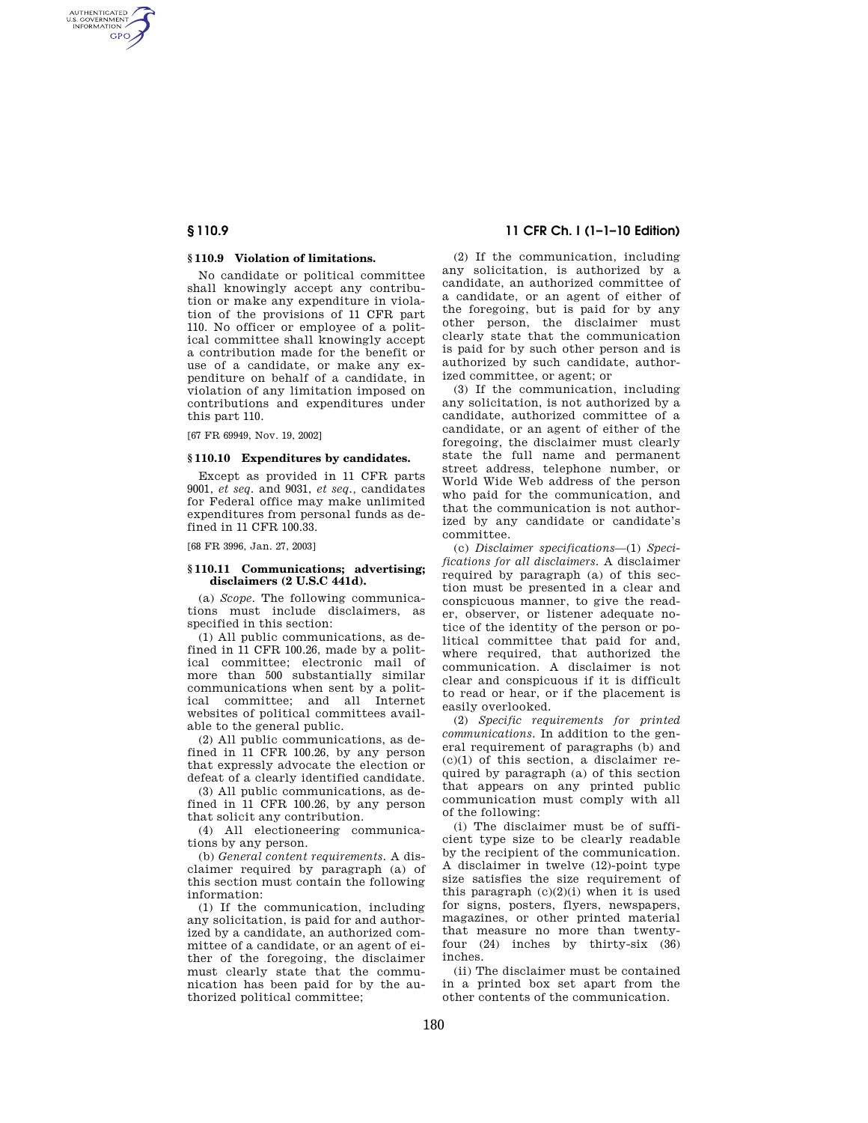AUTHENTICATED<br>U.S. GOVERNMENT<br>INFORMATION **GPO** 

## **§ 110.9 Violation of limitations.**

No candidate or political committee shall knowingly accept any contribution or make any expenditure in violation of the provisions of 11 CFR part 110. No officer or employee of a political committee shall knowingly accept a contribution made for the benefit or use of a candidate, or make any expenditure on behalf of a candidate, in violation of any limitation imposed on contributions and expenditures under this part 110.

[67 FR 69949, Nov. 19, 2002]

### **§ 110.10 Expenditures by candidates.**

Except as provided in 11 CFR parts 9001, *et seq.* and 9031, *et seq.,* candidates for Federal office may make unlimited expenditures from personal funds as defined in 11 CFR 100.33.

[68 FR 3996, Jan. 27, 2003]

## **§ 110.11 Communications; advertising; disclaimers (2 U.S.C 441d).**

(a) *Scope.* The following communications must include disclaimers, as specified in this section:

(1) All public communications, as defined in 11 CFR 100.26, made by a political committee; electronic mail of more than 500 substantially similar communications when sent by a political committee; and all Internet websites of political committees available to the general public.

(2) All public communications, as defined in 11 CFR 100.26, by any person that expressly advocate the election or defeat of a clearly identified candidate.

(3) All public communications, as defined in 11 CFR 100.26, by any person that solicit any contribution.

(4) All electioneering communications by any person.

(b) *General content requirements.* A disclaimer required by paragraph (a) of this section must contain the following information:

(1) If the communication, including any solicitation, is paid for and authorized by a candidate, an authorized committee of a candidate, or an agent of either of the foregoing, the disclaimer must clearly state that the communication has been paid for by the authorized political committee;

# **§ 110.9 11 CFR Ch. I (1–1–10 Edition)**

(2) If the communication, including any solicitation, is authorized by a candidate, an authorized committee of a candidate, or an agent of either of the foregoing, but is paid for by any other person, the disclaimer must clearly state that the communication is paid for by such other person and is authorized by such candidate, authorized committee, or agent; or

(3) If the communication, including any solicitation, is not authorized by a candidate, authorized committee of a candidate, or an agent of either of the foregoing, the disclaimer must clearly state the full name and permanent street address, telephone number, or World Wide Web address of the person who paid for the communication, and that the communication is not authorized by any candidate or candidate's committee.

(c) *Disclaimer specifications*—(1) *Specifications for all disclaimers.* A disclaimer required by paragraph (a) of this section must be presented in a clear and conspicuous manner, to give the reader, observer, or listener adequate notice of the identity of the person or political committee that paid for and, where required, that authorized the communication. A disclaimer is not clear and conspicuous if it is difficult to read or hear, or if the placement is easily overlooked.

(2) *Specific requirements for printed communications.* In addition to the general requirement of paragraphs (b) and  $(c)(1)$  of this section, a disclaimer required by paragraph (a) of this section that appears on any printed public communication must comply with all of the following:

(i) The disclaimer must be of sufficient type size to be clearly readable by the recipient of the communication. A disclaimer in twelve (12)-point type size satisfies the size requirement of this paragraph  $(c)(2)(i)$  when it is used for signs, posters, flyers, newspapers, magazines, or other printed material that measure no more than twentyfour (24) inches by thirty-six (36) inches.

(ii) The disclaimer must be contained in a printed box set apart from the other contents of the communication.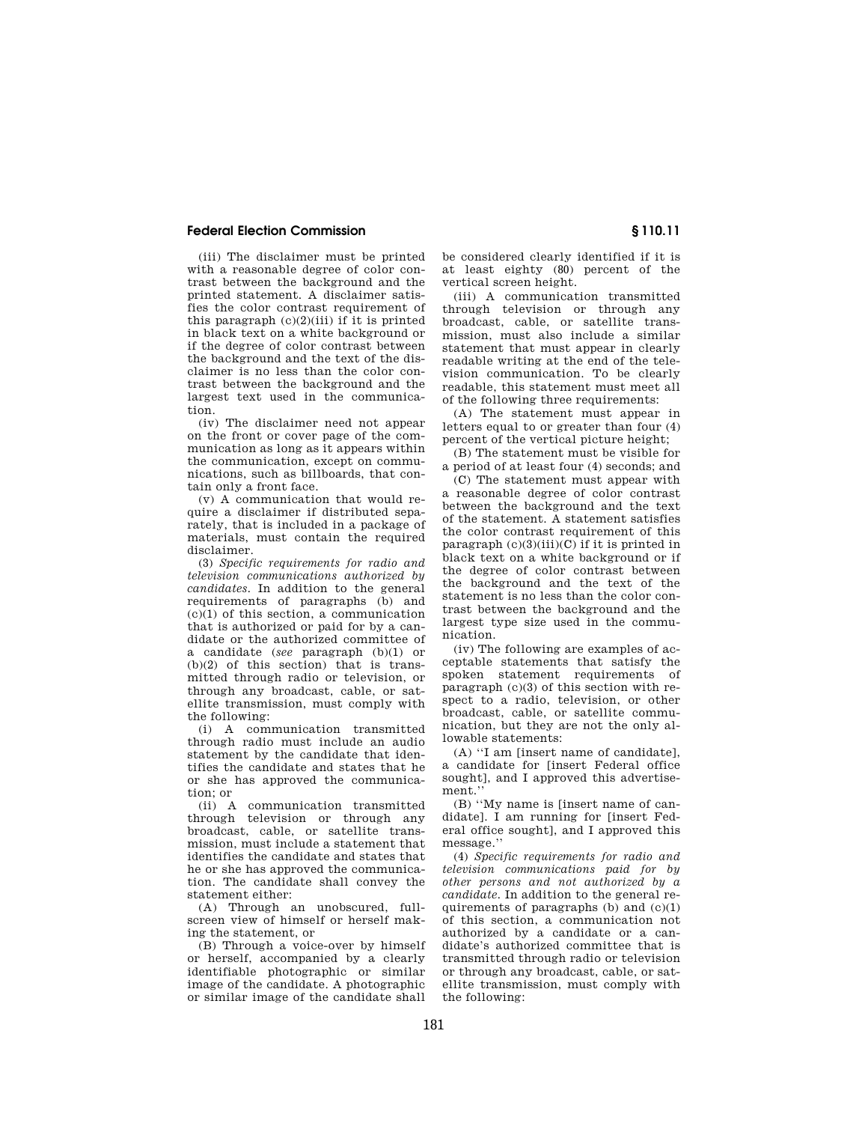# **Federal Election Commission § 110.11**

(iii) The disclaimer must be printed with a reasonable degree of color contrast between the background and the printed statement. A disclaimer satisfies the color contrast requirement of this paragraph  $(c)(2)(iii)$  if it is printed in black text on a white background or if the degree of color contrast between the background and the text of the disclaimer is no less than the color contrast between the background and the largest text used in the communication.

(iv) The disclaimer need not appear on the front or cover page of the communication as long as it appears within the communication, except on communications, such as billboards, that contain only a front face.

(v) A communication that would require a disclaimer if distributed separately, that is included in a package of materials, must contain the required disclaimer.

(3) *Specific requirements for radio and television communications authorized by candidates.* In addition to the general requirements of paragraphs (b) and  $(c)(1)$  of this section, a communication that is authorized or paid for by a candidate or the authorized committee of a candidate (*see* paragraph (b)(1) or  $(b)(2)$  of this section) that is transmitted through radio or television, or through any broadcast, cable, or satellite transmission, must comply with the following:

(i) A communication transmitted through radio must include an audio statement by the candidate that identifies the candidate and states that he or she has approved the communication; or

(ii) A communication transmitted through television or through any broadcast, cable, or satellite transmission, must include a statement that identifies the candidate and states that he or she has approved the communication. The candidate shall convey the statement either:

(A) Through an unobscured, fullscreen view of himself or herself making the statement, or

(B) Through a voice-over by himself or herself, accompanied by a clearly identifiable photographic or similar image of the candidate. A photographic or similar image of the candidate shall

be considered clearly identified if it is at least eighty (80) percent of the vertical screen height.

(iii) A communication transmitted through television or through any broadcast, cable, or satellite transmission, must also include a similar statement that must appear in clearly readable writing at the end of the television communication. To be clearly readable, this statement must meet all of the following three requirements:

(A) The statement must appear in letters equal to or greater than four (4) percent of the vertical picture height;

(B) The statement must be visible for a period of at least four (4) seconds; and

(C) The statement must appear with a reasonable degree of color contrast between the background and the text of the statement. A statement satisfies the color contrast requirement of this paragraph  $(c)(3)(iii)(C)$  if it is printed in black text on a white background or if the degree of color contrast between the background and the text of the statement is no less than the color contrast between the background and the largest type size used in the communication.

(iv) The following are examples of acceptable statements that satisfy the spoken statement requirements of paragraph (c)(3) of this section with respect to a radio, television, or other broadcast, cable, or satellite communication, but they are not the only allowable statements:

(A) ''I am [insert name of candidate], a candidate for [insert Federal office sought], and I approved this advertisement.''

(B) ''My name is [insert name of candidate]. I am running for [insert Federal office sought], and I approved this message.''

(4) *Specific requirements for radio and television communications paid for by other persons and not authorized by a candidate.* In addition to the general requirements of paragraphs  $(b)$  and  $(c)(1)$ of this section, a communication not authorized by a candidate or a candidate's authorized committee that is transmitted through radio or television or through any broadcast, cable, or satellite transmission, must comply with the following: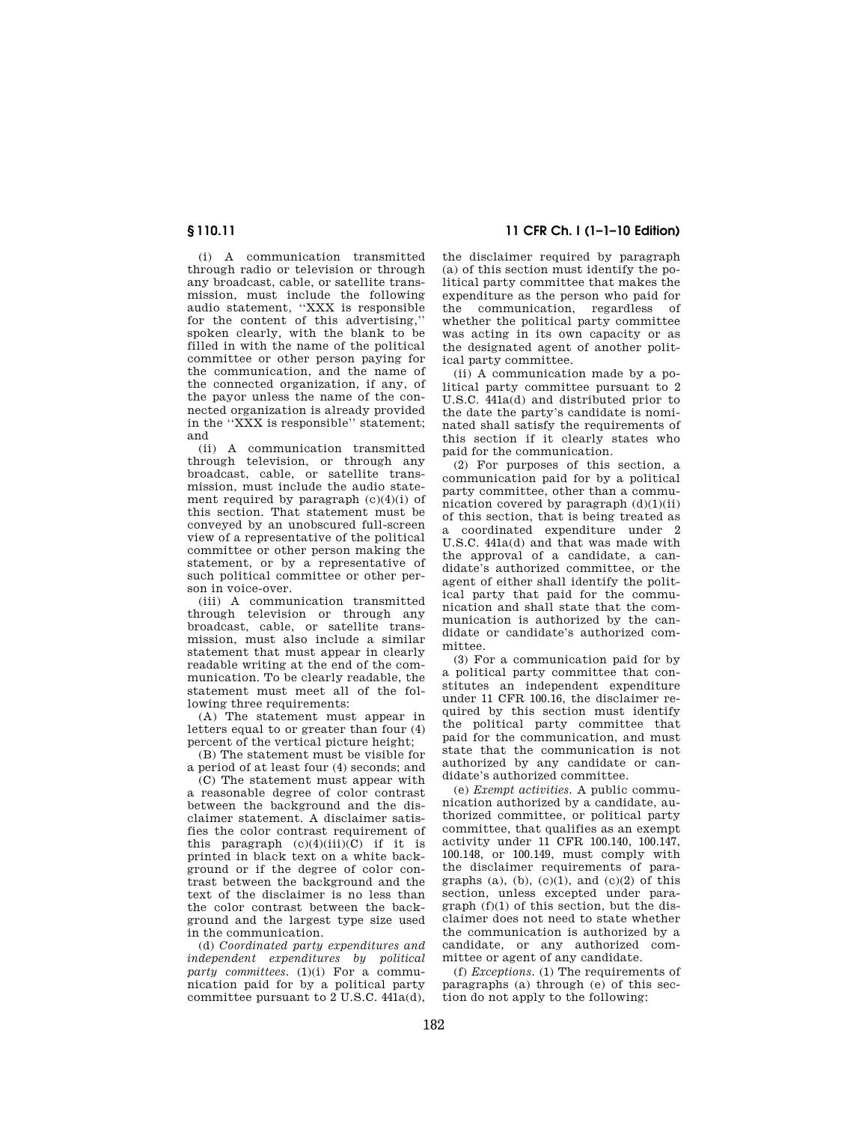(i) A communication transmitted through radio or television or through any broadcast, cable, or satellite transmission, must include the following audio statement, ''XXX is responsible for the content of this advertising,'' spoken clearly, with the blank to be filled in with the name of the political committee or other person paying for the communication, and the name of the connected organization, if any, of the payor unless the name of the connected organization is already provided in the ''XXX is responsible'' statement; and

(ii) A communication transmitted through television, or through any broadcast, cable, or satellite transmission, must include the audio statement required by paragraph  $(c)(4)(i)$  of this section. That statement must be conveyed by an unobscured full-screen view of a representative of the political committee or other person making the statement, or by a representative of such political committee or other person in voice-over.

(iii) A communication transmitted through television or through any broadcast, cable, or satellite transmission, must also include a similar statement that must appear in clearly readable writing at the end of the communication. To be clearly readable, the statement must meet all of the following three requirements:

(A) The statement must appear in letters equal to or greater than four (4) percent of the vertical picture height;

(B) The statement must be visible for a period of at least four (4) seconds; and

 $(C)$  The statement must appear with a reasonable degree of color contrast between the background and the disclaimer statement. A disclaimer satisfies the color contrast requirement of this paragraph  $(c)(4)(iii)(C)$  if it is printed in black text on a white background or if the degree of color contrast between the background and the text of the disclaimer is no less than the color contrast between the background and the largest type size used in the communication.

(d) *Coordinated party expenditures and independent expenditures by political party committees.* (1)(i) For a communication paid for by a political party committee pursuant to  $2$  U.S.C.  $441a(d)$ ,

**§ 110.11 11 CFR Ch. I (1–1–10 Edition)** 

the disclaimer required by paragraph (a) of this section must identify the political party committee that makes the expenditure as the person who paid for the communication, regardless of whether the political party committee was acting in its own capacity or as the designated agent of another political party committee.

(ii) A communication made by a political party committee pursuant to 2 U.S.C. 441a(d) and distributed prior to the date the party's candidate is nominated shall satisfy the requirements of this section if it clearly states who paid for the communication.

(2) For purposes of this section, a communication paid for by a political party committee, other than a communication covered by paragraph  $(d)(1)(ii)$ of this section, that is being treated as a coordinated expenditure under 2 U.S.C. 441a(d) and that was made with the approval of a candidate, a candidate's authorized committee, or the agent of either shall identify the political party that paid for the communication and shall state that the communication is authorized by the candidate or candidate's authorized committee.

(3) For a communication paid for by a political party committee that constitutes an independent expenditure under 11 CFR 100.16, the disclaimer required by this section must identify the political party committee that paid for the communication, and must state that the communication is not authorized by any candidate or candidate's authorized committee.

(e) *Exempt activities.* A public communication authorized by a candidate, authorized committee, or political party committee, that qualifies as an exempt activity under 11 CFR 100.140, 100.147, 100.148, or 100.149, must comply with the disclaimer requirements of paragraphs (a), (b), (c)(1), and (c)(2) of this section, unless excepted under paragraph (f)(1) of this section, but the disclaimer does not need to state whether the communication is authorized by a candidate, or any authorized committee or agent of any candidate.

(f) *Exceptions.* (1) The requirements of paragraphs (a) through (e) of this section do not apply to the following: